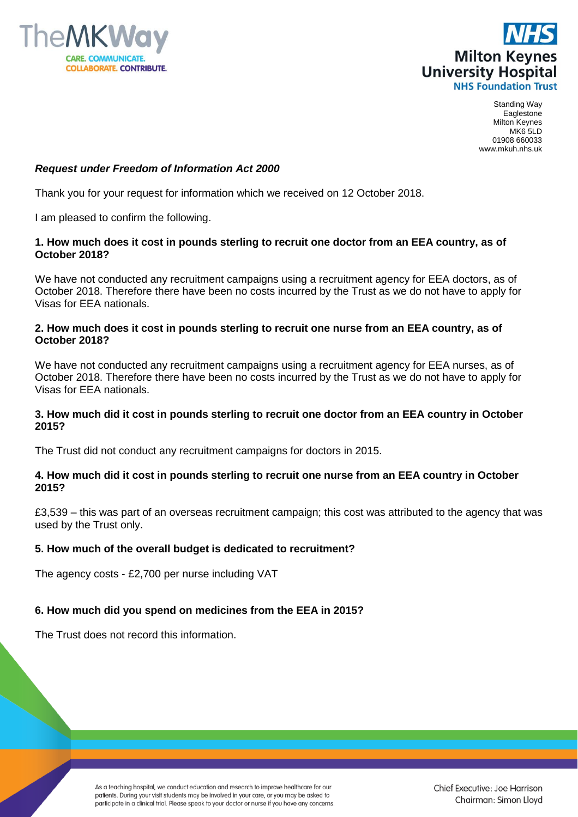



Standing Way Eaglestone Milton Keynes MK6 5LD 01908 660033 www.mkuh.nhs.uk

# *Request under Freedom of Information Act 2000*

Thank you for your request for information which we received on 12 October 2018.

I am pleased to confirm the following.

#### **1. How much does it cost in pounds sterling to recruit one doctor from an EEA country, as of October 2018?**

We have not conducted any recruitment campaigns using a recruitment agency for EEA doctors, as of October 2018. Therefore there have been no costs incurred by the Trust as we do not have to apply for Visas for EEA nationals.

#### **2. How much does it cost in pounds sterling to recruit one nurse from an EEA country, as of October 2018?**

We have not conducted any recruitment campaigns using a recruitment agency for EEA nurses, as of October 2018. Therefore there have been no costs incurred by the Trust as we do not have to apply for Visas for EEA nationals.

# **3. How much did it cost in pounds sterling to recruit one doctor from an EEA country in October 2015?**

The Trust did not conduct any recruitment campaigns for doctors in 2015.

# **4. How much did it cost in pounds sterling to recruit one nurse from an EEA country in October 2015?**

£3,539 – this was part of an overseas recruitment campaign; this cost was attributed to the agency that was used by the Trust only.

# **5. How much of the overall budget is dedicated to recruitment?**

The agency costs - £2,700 per nurse including VAT

# **6. How much did you spend on medicines from the EEA in 2015?**

The Trust does not record this information.

As a teaching hospital, we conduct education and research to improve healthcare for our patients. During your visit students may be involved in your care, or you may be asked to participate in a clinical trial. Please speak to your doctor or nurse if you have any concerns.